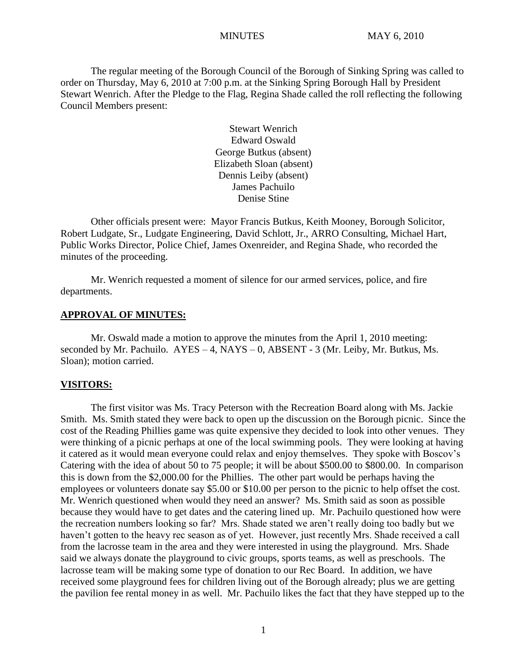The regular meeting of the Borough Council of the Borough of Sinking Spring was called to order on Thursday, May 6, 2010 at 7:00 p.m. at the Sinking Spring Borough Hall by President Stewart Wenrich. After the Pledge to the Flag, Regina Shade called the roll reflecting the following Council Members present:

> Stewart Wenrich Edward Oswald George Butkus (absent) Elizabeth Sloan (absent) Dennis Leiby (absent) James Pachuilo Denise Stine

Other officials present were: Mayor Francis Butkus, Keith Mooney, Borough Solicitor, Robert Ludgate, Sr., Ludgate Engineering, David Schlott, Jr., ARRO Consulting, Michael Hart, Public Works Director, Police Chief, James Oxenreider, and Regina Shade, who recorded the minutes of the proceeding.

Mr. Wenrich requested a moment of silence for our armed services, police, and fire departments.

### **APPROVAL OF MINUTES:**

Mr. Oswald made a motion to approve the minutes from the April 1, 2010 meeting: seconded by Mr. Pachuilo. AYES – 4, NAYS – 0, ABSENT - 3 (Mr. Leiby, Mr. Butkus, Ms. Sloan); motion carried.

#### **VISITORS:**

The first visitor was Ms. Tracy Peterson with the Recreation Board along with Ms. Jackie Smith. Ms. Smith stated they were back to open up the discussion on the Borough picnic. Since the cost of the Reading Phillies game was quite expensive they decided to look into other venues. They were thinking of a picnic perhaps at one of the local swimming pools. They were looking at having it catered as it would mean everyone could relax and enjoy themselves. They spoke with Boscov's Catering with the idea of about 50 to 75 people; it will be about \$500.00 to \$800.00. In comparison this is down from the \$2,000.00 for the Phillies. The other part would be perhaps having the employees or volunteers donate say \$5.00 or \$10.00 per person to the picnic to help offset the cost. Mr. Wenrich questioned when would they need an answer? Ms. Smith said as soon as possible because they would have to get dates and the catering lined up. Mr. Pachuilo questioned how were the recreation numbers looking so far? Mrs. Shade stated we aren't really doing too badly but we haven't gotten to the heavy rec season as of yet. However, just recently Mrs. Shade received a call from the lacrosse team in the area and they were interested in using the playground. Mrs. Shade said we always donate the playground to civic groups, sports teams, as well as preschools. The lacrosse team will be making some type of donation to our Rec Board. In addition, we have received some playground fees for children living out of the Borough already; plus we are getting the pavilion fee rental money in as well. Mr. Pachuilo likes the fact that they have stepped up to the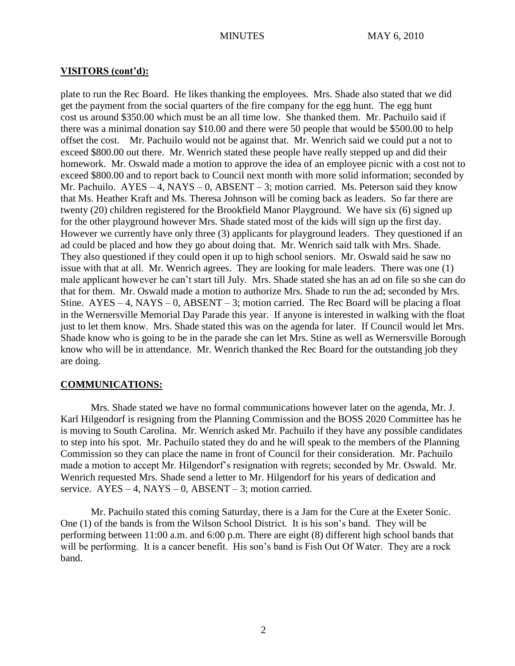# **VISITORS (cont'd):**

plate to run the Rec Board. He likes thanking the employees. Mrs. Shade also stated that we did get the payment from the social quarters of the fire company for the egg hunt. The egg hunt cost us around \$350.00 which must be an all time low. She thanked them. Mr. Pachuilo said if there was a minimal donation say \$10.00 and there were 50 people that would be \$500.00 to help offset the cost. Mr. Pachuilo would not be against that. Mr. Wenrich said we could put a not to exceed \$800.00 out there. Mr. Wenrich stated these people have really stepped up and did their homework. Mr. Oswald made a motion to approve the idea of an employee picnic with a cost not to exceed \$800.00 and to report back to Council next month with more solid information; seconded by Mr. Pachuilo. AYES – 4, NAYS – 0, ABSENT – 3; motion carried. Ms. Peterson said they know that Ms. Heather Kraft and Ms. Theresa Johnson will be coming back as leaders. So far there are twenty (20) children registered for the Brookfield Manor Playground. We have six (6) signed up for the other playground however Mrs. Shade stated most of the kids will sign up the first day. However we currently have only three (3) applicants for playground leaders. They questioned if an ad could be placed and how they go about doing that. Mr. Wenrich said talk with Mrs. Shade. They also questioned if they could open it up to high school seniors. Mr. Oswald said he saw no issue with that at all. Mr. Wenrich agrees. They are looking for male leaders. There was one (1) male applicant however he can't start till July. Mrs. Shade stated she has an ad on file so she can do that for them. Mr. Oswald made a motion to authorize Mrs. Shade to run the ad; seconded by Mrs. Stine.  $AYES - 4$ ,  $NAYS - 0$ ,  $ABSENT - 3$ ; motion carried. The Rec Board will be placing a float in the Wernersville Memorial Day Parade this year. If anyone is interested in walking with the float just to let them know. Mrs. Shade stated this was on the agenda for later. If Council would let Mrs. Shade know who is going to be in the parade she can let Mrs. Stine as well as Wernersville Borough know who will be in attendance. Mr. Wenrich thanked the Rec Board for the outstanding job they are doing.

# **COMMUNICATIONS:**

Mrs. Shade stated we have no formal communications however later on the agenda, Mr. J. Karl Hilgendorf is resigning from the Planning Commission and the BOSS 2020 Committee has he is moving to South Carolina. Mr. Wenrich asked Mr. Pachuilo if they have any possible candidates to step into his spot. Mr. Pachuilo stated they do and he will speak to the members of the Planning Commission so they can place the name in front of Council for their consideration. Mr. Pachuilo made a motion to accept Mr. Hilgendorf's resignation with regrets; seconded by Mr. Oswald. Mr. Wenrich requested Mrs. Shade send a letter to Mr. Hilgendorf for his years of dedication and service.  $AYES - 4$ ,  $NAYS - 0$ ,  $ABSENT - 3$ ; motion carried.

Mr. Pachuilo stated this coming Saturday, there is a Jam for the Cure at the Exeter Sonic. One (1) of the bands is from the Wilson School District. It is his son's band. They will be performing between 11:00 a.m. and 6:00 p.m. There are eight (8) different high school bands that will be performing. It is a cancer benefit. His son's band is Fish Out Of Water. They are a rock band.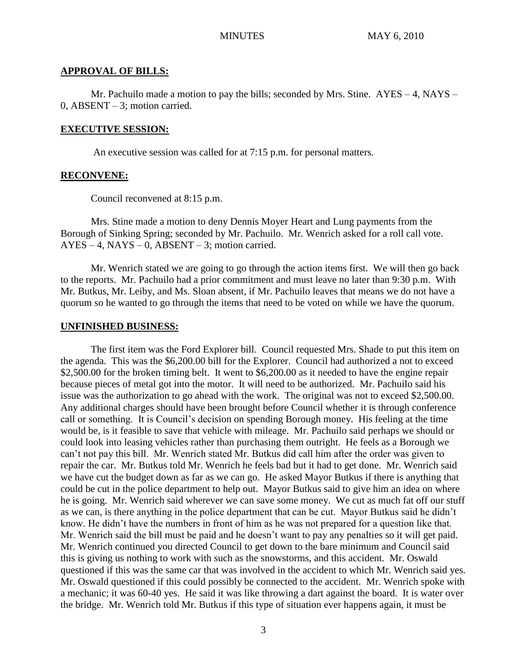#### **APPROVAL OF BILLS:**

Mr. Pachuilo made a motion to pay the bills; seconded by Mrs. Stine.  $AYES - 4$ , NAYS – 0, ABSENT – 3; motion carried.

### **EXECUTIVE SESSION:**

An executive session was called for at 7:15 p.m. for personal matters.

#### **RECONVENE:**

Council reconvened at 8:15 p.m.

Mrs. Stine made a motion to deny Dennis Moyer Heart and Lung payments from the Borough of Sinking Spring; seconded by Mr. Pachuilo. Mr. Wenrich asked for a roll call vote.  $AYES - 4$ ,  $NAYS - 0$ ,  $ABSENT - 3$ ; motion carried.

Mr. Wenrich stated we are going to go through the action items first. We will then go back to the reports. Mr. Pachuilo had a prior commitment and must leave no later than 9:30 p.m. With Mr. Butkus, Mr. Leiby, and Ms. Sloan absent, if Mr. Pachuilo leaves that means we do not have a quorum so he wanted to go through the items that need to be voted on while we have the quorum.

#### **UNFINISHED BUSINESS:**

The first item was the Ford Explorer bill. Council requested Mrs. Shade to put this item on the agenda. This was the \$6,200.00 bill for the Explorer. Council had authorized a not to exceed \$2,500.00 for the broken timing belt. It went to \$6,200.00 as it needed to have the engine repair because pieces of metal got into the motor. It will need to be authorized. Mr. Pachuilo said his issue was the authorization to go ahead with the work. The original was not to exceed \$2,500.00. Any additional charges should have been brought before Council whether it is through conference call or something. It is Council's decision on spending Borough money. His feeling at the time would be, is it feasible to save that vehicle with mileage. Mr. Pachuilo said perhaps we should or could look into leasing vehicles rather than purchasing them outright. He feels as a Borough we can't not pay this bill. Mr. Wenrich stated Mr. Butkus did call him after the order was given to repair the car. Mr. Butkus told Mr. Wenrich he feels bad but it had to get done. Mr. Wenrich said we have cut the budget down as far as we can go. He asked Mayor Butkus if there is anything that could be cut in the police department to help out. Mayor Butkus said to give him an idea on where he is going. Mr. Wenrich said wherever we can save some money. We cut as much fat off our stuff as we can, is there anything in the police department that can be cut. Mayor Butkus said he didn't know. He didn't have the numbers in front of him as he was not prepared for a question like that. Mr. Wenrich said the bill must be paid and he doesn't want to pay any penalties so it will get paid. Mr. Wenrich continued you directed Council to get down to the bare minimum and Council said this is giving us nothing to work with such as the snowstorms, and this accident. Mr. Oswald questioned if this was the same car that was involved in the accident to which Mr. Wenrich said yes. Mr. Oswald questioned if this could possibly be connected to the accident. Mr. Wenrich spoke with a mechanic; it was 60-40 yes. He said it was like throwing a dart against the board. It is water over the bridge. Mr. Wenrich told Mr. Butkus if this type of situation ever happens again, it must be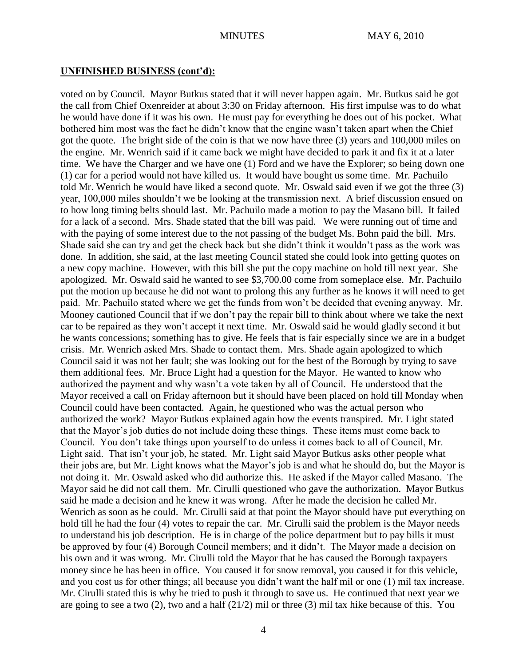### **UNFINISHED BUSINESS (cont'd):**

voted on by Council. Mayor Butkus stated that it will never happen again. Mr. Butkus said he got the call from Chief Oxenreider at about 3:30 on Friday afternoon. His first impulse was to do what he would have done if it was his own. He must pay for everything he does out of his pocket. What bothered him most was the fact he didn't know that the engine wasn't taken apart when the Chief got the quote. The bright side of the coin is that we now have three (3) years and 100,000 miles on the engine. Mr. Wenrich said if it came back we might have decided to park it and fix it at a later time. We have the Charger and we have one (1) Ford and we have the Explorer; so being down one (1) car for a period would not have killed us. It would have bought us some time. Mr. Pachuilo told Mr. Wenrich he would have liked a second quote. Mr. Oswald said even if we got the three (3) year, 100,000 miles shouldn't we be looking at the transmission next. A brief discussion ensued on to how long timing belts should last. Mr. Pachuilo made a motion to pay the Masano bill. It failed for a lack of a second. Mrs. Shade stated that the bill was paid. We were running out of time and with the paying of some interest due to the not passing of the budget Ms. Bohn paid the bill. Mrs. Shade said she can try and get the check back but she didn't think it wouldn't pass as the work was done. In addition, she said, at the last meeting Council stated she could look into getting quotes on a new copy machine. However, with this bill she put the copy machine on hold till next year. She apologized. Mr. Oswald said he wanted to see \$3,700.00 come from someplace else. Mr. Pachuilo put the motion up because he did not want to prolong this any further as he knows it will need to get paid. Mr. Pachuilo stated where we get the funds from won't be decided that evening anyway. Mr. Mooney cautioned Council that if we don't pay the repair bill to think about where we take the next car to be repaired as they won't accept it next time. Mr. Oswald said he would gladly second it but he wants concessions; something has to give. He feels that is fair especially since we are in a budget crisis. Mr. Wenrich asked Mrs. Shade to contact them. Mrs. Shade again apologized to which Council said it was not her fault; she was looking out for the best of the Borough by trying to save them additional fees. Mr. Bruce Light had a question for the Mayor. He wanted to know who authorized the payment and why wasn't a vote taken by all of Council. He understood that the Mayor received a call on Friday afternoon but it should have been placed on hold till Monday when Council could have been contacted. Again, he questioned who was the actual person who authorized the work? Mayor Butkus explained again how the events transpired. Mr. Light stated that the Mayor's job duties do not include doing these things. These items must come back to Council. You don't take things upon yourself to do unless it comes back to all of Council, Mr. Light said. That isn't your job, he stated. Mr. Light said Mayor Butkus asks other people what their jobs are, but Mr. Light knows what the Mayor's job is and what he should do, but the Mayor is not doing it. Mr. Oswald asked who did authorize this. He asked if the Mayor called Masano. The Mayor said he did not call them. Mr. Cirulli questioned who gave the authorization. Mayor Butkus said he made a decision and he knew it was wrong. After he made the decision he called Mr. Wenrich as soon as he could. Mr. Cirulli said at that point the Mayor should have put everything on hold till he had the four (4) votes to repair the car. Mr. Cirulli said the problem is the Mayor needs to understand his job description. He is in charge of the police department but to pay bills it must be approved by four (4) Borough Council members; and it didn't. The Mayor made a decision on his own and it was wrong. Mr. Cirulli told the Mayor that he has caused the Borough taxpayers money since he has been in office. You caused it for snow removal, you caused it for this vehicle, and you cost us for other things; all because you didn't want the half mil or one (1) mil tax increase. Mr. Cirulli stated this is why he tried to push it through to save us. He continued that next year we are going to see a two (2), two and a half (21/2) mil or three (3) mil tax hike because of this. You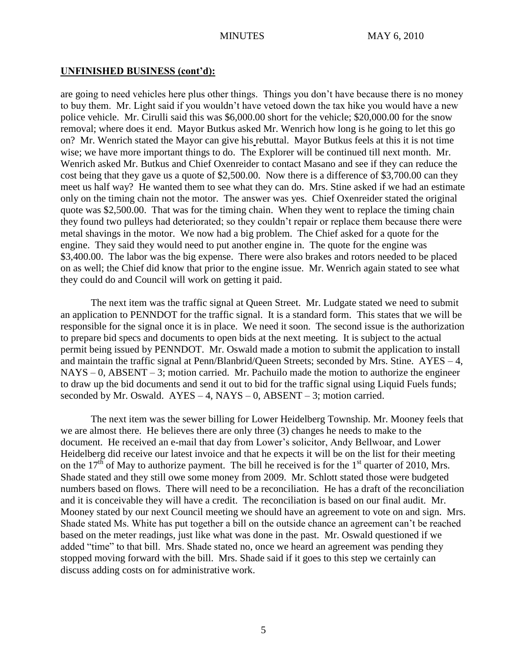# **UNFINISHED BUSINESS (cont'd):**

are going to need vehicles here plus other things. Things you don't have because there is no money to buy them. Mr. Light said if you wouldn't have vetoed down the tax hike you would have a new police vehicle. Mr. Cirulli said this was \$6,000.00 short for the vehicle; \$20,000.00 for the snow removal; where does it end. Mayor Butkus asked Mr. Wenrich how long is he going to let this go on? Mr. Wenrich stated the Mayor can give his rebuttal. Mayor Butkus feels at this it is not time wise; we have more important things to do. The Explorer will be continued till next month. Mr. Wenrich asked Mr. Butkus and Chief Oxenreider to contact Masano and see if they can reduce the cost being that they gave us a quote of \$2,500.00. Now there is a difference of \$3,700.00 can they meet us half way? He wanted them to see what they can do. Mrs. Stine asked if we had an estimate only on the timing chain not the motor. The answer was yes. Chief Oxenreider stated the original quote was \$2,500.00. That was for the timing chain. When they went to replace the timing chain they found two pulleys had deteriorated; so they couldn't repair or replace them because there were metal shavings in the motor. We now had a big problem. The Chief asked for a quote for the engine. They said they would need to put another engine in. The quote for the engine was \$3,400.00. The labor was the big expense. There were also brakes and rotors needed to be placed on as well; the Chief did know that prior to the engine issue. Mr. Wenrich again stated to see what they could do and Council will work on getting it paid.

The next item was the traffic signal at Queen Street. Mr. Ludgate stated we need to submit an application to PENNDOT for the traffic signal. It is a standard form. This states that we will be responsible for the signal once it is in place. We need it soon. The second issue is the authorization to prepare bid specs and documents to open bids at the next meeting. It is subject to the actual permit being issued by PENNDOT. Mr. Oswald made a motion to submit the application to install and maintain the traffic signal at Penn/Blanbrid/Queen Streets; seconded by Mrs. Stine. AYES – 4,  $NAYS - 0$ ,  $ABSENT - 3$ ; motion carried. Mr. Pachuilo made the motion to authorize the engineer to draw up the bid documents and send it out to bid for the traffic signal using Liquid Fuels funds; seconded by Mr. Oswald.  $AYES - 4$ ,  $NAYS - 0$ ,  $ABSENT - 3$ ; motion carried.

The next item was the sewer billing for Lower Heidelberg Township. Mr. Mooney feels that we are almost there. He believes there are only three (3) changes he needs to make to the document. He received an e-mail that day from Lower's solicitor, Andy Bellwoar, and Lower Heidelberg did receive our latest invoice and that he expects it will be on the list for their meeting on the 17<sup>th</sup> of May to authorize payment. The bill he received is for the 1<sup>st</sup> quarter of 2010, Mrs. Shade stated and they still owe some money from 2009. Mr. Schlott stated those were budgeted numbers based on flows. There will need to be a reconciliation. He has a draft of the reconciliation and it is conceivable they will have a credit. The reconciliation is based on our final audit. Mr. Mooney stated by our next Council meeting we should have an agreement to vote on and sign. Mrs. Shade stated Ms. White has put together a bill on the outside chance an agreement can't be reached based on the meter readings, just like what was done in the past. Mr. Oswald questioned if we added "time" to that bill. Mrs. Shade stated no, once we heard an agreement was pending they stopped moving forward with the bill. Mrs. Shade said if it goes to this step we certainly can discuss adding costs on for administrative work.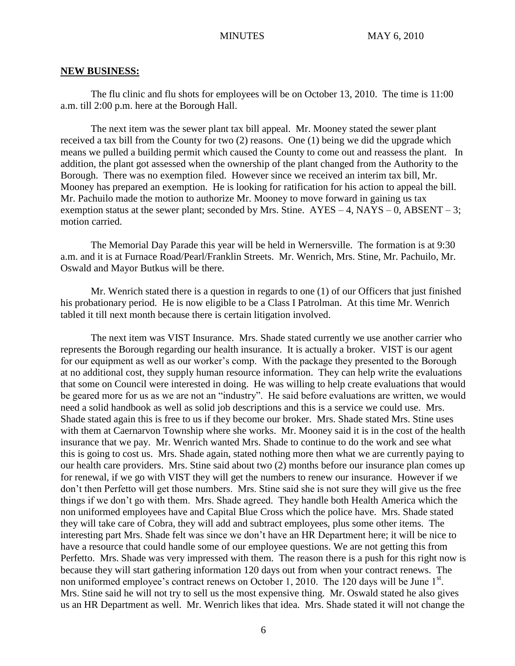#### **NEW BUSINESS:**

The flu clinic and flu shots for employees will be on October 13, 2010. The time is 11:00 a.m. till 2:00 p.m. here at the Borough Hall.

The next item was the sewer plant tax bill appeal. Mr. Mooney stated the sewer plant received a tax bill from the County for two (2) reasons. One (1) being we did the upgrade which means we pulled a building permit which caused the County to come out and reassess the plant. In addition, the plant got assessed when the ownership of the plant changed from the Authority to the Borough. There was no exemption filed. However since we received an interim tax bill, Mr. Mooney has prepared an exemption. He is looking for ratification for his action to appeal the bill. Mr. Pachuilo made the motion to authorize Mr. Mooney to move forward in gaining us tax exemption status at the sewer plant; seconded by Mrs. Stine.  $AYES - 4$ ,  $NAYS - 0$ ,  $ABSENT - 3$ ; motion carried.

The Memorial Day Parade this year will be held in Wernersville. The formation is at 9:30 a.m. and it is at Furnace Road/Pearl/Franklin Streets. Mr. Wenrich, Mrs. Stine, Mr. Pachuilo, Mr. Oswald and Mayor Butkus will be there.

Mr. Wenrich stated there is a question in regards to one (1) of our Officers that just finished his probationary period. He is now eligible to be a Class I Patrolman. At this time Mr. Wenrich tabled it till next month because there is certain litigation involved.

The next item was VIST Insurance. Mrs. Shade stated currently we use another carrier who represents the Borough regarding our health insurance. It is actually a broker. VIST is our agent for our equipment as well as our worker's comp. With the package they presented to the Borough at no additional cost, they supply human resource information. They can help write the evaluations that some on Council were interested in doing. He was willing to help create evaluations that would be geared more for us as we are not an "industry". He said before evaluations are written, we would need a solid handbook as well as solid job descriptions and this is a service we could use. Mrs. Shade stated again this is free to us if they become our broker. Mrs. Shade stated Mrs. Stine uses with them at Caernarvon Township where she works. Mr. Mooney said it is in the cost of the health insurance that we pay. Mr. Wenrich wanted Mrs. Shade to continue to do the work and see what this is going to cost us. Mrs. Shade again, stated nothing more then what we are currently paying to our health care providers. Mrs. Stine said about two (2) months before our insurance plan comes up for renewal, if we go with VIST they will get the numbers to renew our insurance. However if we don't then Perfetto will get those numbers. Mrs. Stine said she is not sure they will give us the free things if we don't go with them. Mrs. Shade agreed. They handle both Health America which the non uniformed employees have and Capital Blue Cross which the police have. Mrs. Shade stated they will take care of Cobra, they will add and subtract employees, plus some other items. The interesting part Mrs. Shade felt was since we don't have an HR Department here; it will be nice to have a resource that could handle some of our employee questions. We are not getting this from Perfetto. Mrs. Shade was very impressed with them. The reason there is a push for this right now is because they will start gathering information 120 days out from when your contract renews. The non uniformed employee's contract renews on October 1, 2010. The 120 days will be June 1<sup>st</sup>. Mrs. Stine said he will not try to sell us the most expensive thing. Mr. Oswald stated he also gives us an HR Department as well. Mr. Wenrich likes that idea. Mrs. Shade stated it will not change the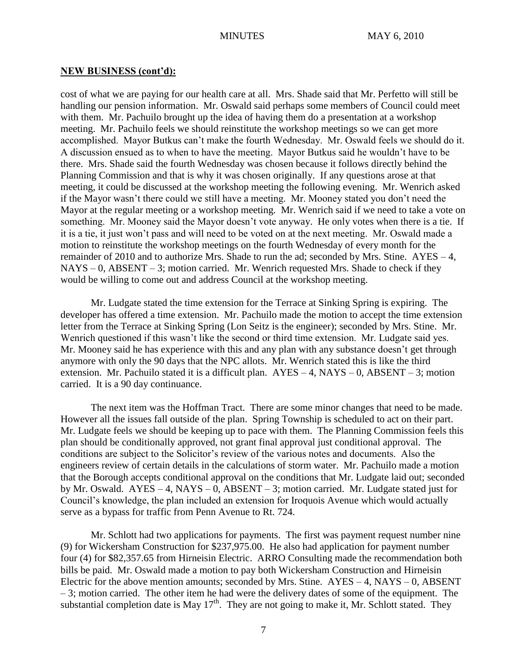#### **NEW BUSINESS (cont'd):**

cost of what we are paying for our health care at all. Mrs. Shade said that Mr. Perfetto will still be handling our pension information. Mr. Oswald said perhaps some members of Council could meet with them. Mr. Pachuilo brought up the idea of having them do a presentation at a workshop meeting. Mr. Pachuilo feels we should reinstitute the workshop meetings so we can get more accomplished. Mayor Butkus can't make the fourth Wednesday. Mr. Oswald feels we should do it. A discussion ensued as to when to have the meeting. Mayor Butkus said he wouldn't have to be there. Mrs. Shade said the fourth Wednesday was chosen because it follows directly behind the Planning Commission and that is why it was chosen originally. If any questions arose at that meeting, it could be discussed at the workshop meeting the following evening. Mr. Wenrich asked if the Mayor wasn't there could we still have a meeting. Mr. Mooney stated you don't need the Mayor at the regular meeting or a workshop meeting. Mr. Wenrich said if we need to take a vote on something. Mr. Mooney said the Mayor doesn't vote anyway. He only votes when there is a tie. If it is a tie, it just won't pass and will need to be voted on at the next meeting. Mr. Oswald made a motion to reinstitute the workshop meetings on the fourth Wednesday of every month for the remainder of 2010 and to authorize Mrs. Shade to run the ad; seconded by Mrs. Stine. AYES – 4,  $NAYS - 0$ ,  $ABSENT - 3$ ; motion carried. Mr. Wenrich requested Mrs. Shade to check if they would be willing to come out and address Council at the workshop meeting.

Mr. Ludgate stated the time extension for the Terrace at Sinking Spring is expiring. The developer has offered a time extension. Mr. Pachuilo made the motion to accept the time extension letter from the Terrace at Sinking Spring (Lon Seitz is the engineer); seconded by Mrs. Stine. Mr. Wenrich questioned if this wasn't like the second or third time extension. Mr. Ludgate said yes. Mr. Mooney said he has experience with this and any plan with any substance doesn't get through anymore with only the 90 days that the NPC allots. Mr. Wenrich stated this is like the third extension. Mr. Pachuilo stated it is a difficult plan.  $AYES - 4$ ,  $NAYS - 0$ ,  $ABSENT - 3$ ; motion carried. It is a 90 day continuance.

The next item was the Hoffman Tract. There are some minor changes that need to be made. However all the issues fall outside of the plan. Spring Township is scheduled to act on their part. Mr. Ludgate feels we should be keeping up to pace with them. The Planning Commission feels this plan should be conditionally approved, not grant final approval just conditional approval. The conditions are subject to the Solicitor's review of the various notes and documents. Also the engineers review of certain details in the calculations of storm water. Mr. Pachuilo made a motion that the Borough accepts conditional approval on the conditions that Mr. Ludgate laid out; seconded by Mr. Oswald. AYES – 4, NAYS – 0, ABSENT – 3; motion carried. Mr. Ludgate stated just for Council's knowledge, the plan included an extension for Iroquois Avenue which would actually serve as a bypass for traffic from Penn Avenue to Rt. 724.

Mr. Schlott had two applications for payments. The first was payment request number nine (9) for Wickersham Construction for \$237,975.00. He also had application for payment number four (4) for \$82,357.65 from Hirneisin Electric. ARRO Consulting made the recommendation both bills be paid. Mr. Oswald made a motion to pay both Wickersham Construction and Hirneisin Electric for the above mention amounts; seconded by Mrs. Stine.  $AYES - 4$ ,  $NAYS - 0$ ,  $ABSENT$  $-3$ ; motion carried. The other item he had were the delivery dates of some of the equipment. The substantial completion date is May  $17<sup>th</sup>$ . They are not going to make it, Mr. Schlott stated. They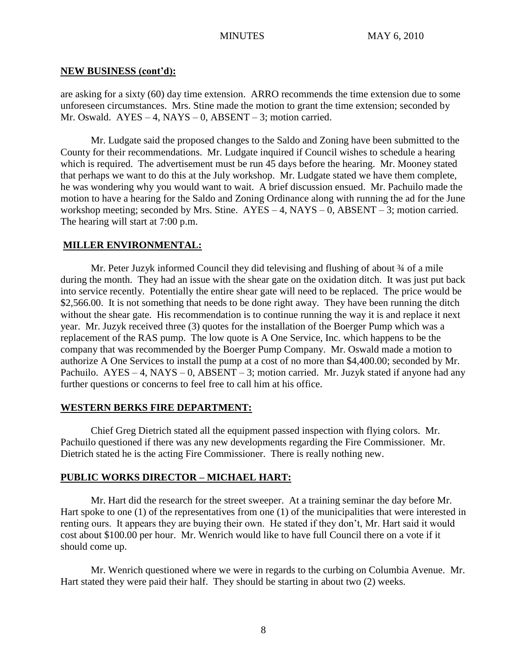# **NEW BUSINESS (cont'd):**

are asking for a sixty (60) day time extension. ARRO recommends the time extension due to some unforeseen circumstances. Mrs. Stine made the motion to grant the time extension; seconded by Mr. Oswald.  $AYES - 4$ ,  $NAYS - 0$ ,  $ABSENT - 3$ ; motion carried.

Mr. Ludgate said the proposed changes to the Saldo and Zoning have been submitted to the County for their recommendations. Mr. Ludgate inquired if Council wishes to schedule a hearing which is required. The advertisement must be run 45 days before the hearing. Mr. Mooney stated that perhaps we want to do this at the July workshop. Mr. Ludgate stated we have them complete, he was wondering why you would want to wait. A brief discussion ensued. Mr. Pachuilo made the motion to have a hearing for the Saldo and Zoning Ordinance along with running the ad for the June workshop meeting; seconded by Mrs. Stine.  $AYES - 4$ ,  $NAYS - 0$ ,  $ABSENT - 3$ ; motion carried. The hearing will start at 7:00 p.m.

# **MILLER ENVIRONMENTAL:**

Mr. Peter Juzyk informed Council they did televising and flushing of about  $\frac{3}{4}$  of a mile during the month. They had an issue with the shear gate on the oxidation ditch. It was just put back into service recently. Potentially the entire shear gate will need to be replaced. The price would be \$2,566.00. It is not something that needs to be done right away. They have been running the ditch without the shear gate. His recommendation is to continue running the way it is and replace it next year. Mr. Juzyk received three (3) quotes for the installation of the Boerger Pump which was a replacement of the RAS pump. The low quote is A One Service, Inc. which happens to be the company that was recommended by the Boerger Pump Company. Mr. Oswald made a motion to authorize A One Services to install the pump at a cost of no more than \$4,400.00; seconded by Mr. Pachuilo. AYES – 4, NAYS – 0, ABSENT – 3; motion carried. Mr. Juzyk stated if anyone had any further questions or concerns to feel free to call him at his office.

## **WESTERN BERKS FIRE DEPARTMENT:**

Chief Greg Dietrich stated all the equipment passed inspection with flying colors. Mr. Pachuilo questioned if there was any new developments regarding the Fire Commissioner. Mr. Dietrich stated he is the acting Fire Commissioner. There is really nothing new.

# **PUBLIC WORKS DIRECTOR – MICHAEL HART:**

Mr. Hart did the research for the street sweeper. At a training seminar the day before Mr. Hart spoke to one (1) of the representatives from one (1) of the municipalities that were interested in renting ours. It appears they are buying their own. He stated if they don't, Mr. Hart said it would cost about \$100.00 per hour. Mr. Wenrich would like to have full Council there on a vote if it should come up.

Mr. Wenrich questioned where we were in regards to the curbing on Columbia Avenue. Mr. Hart stated they were paid their half. They should be starting in about two (2) weeks.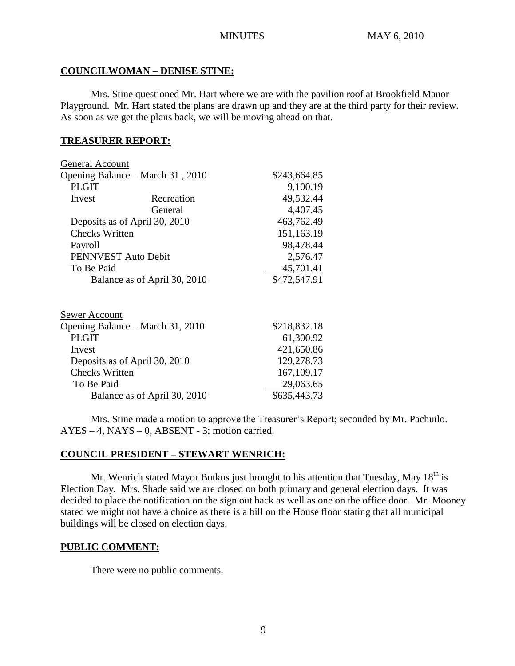# **COUNCILWOMAN – DENISE STINE:**

Mrs. Stine questioned Mr. Hart where we are with the pavilion roof at Brookfield Manor Playground. Mr. Hart stated the plans are drawn up and they are at the third party for their review. As soon as we get the plans back, we will be moving ahead on that.

# **TREASURER REPORT:**

| General Account                  |              |              |
|----------------------------------|--------------|--------------|
| Opening Balance – March 31, 2010 | \$243,664.85 |              |
| <b>PLGIT</b>                     |              | 9,100.19     |
| Invest                           | Recreation   | 49,532.44    |
|                                  | General      | 4,407.45     |
| Deposits as of April 30, 2010    |              | 463,762.49   |
| <b>Checks Written</b>            | 151,163.19   |              |
| Payroll                          |              | 98,478.44    |
| PENNVEST Auto Debit              |              | 2,576.47     |
| To Be Paid                       |              | 45,701.41    |
| Balance as of April 30, 2010     |              | \$472,547.91 |
|                                  |              |              |
| <b>Sewer Account</b>             |              |              |
| Opening Balance – March 31, 2010 |              | \$218,832.18 |
| <b>PLGIT</b>                     |              | 61,300.92    |
| Invest                           |              | 421,650.86   |
| Deposits as of April 30, 2010    |              | 129,278.73   |
| <b>Checks Written</b>            |              | 167, 109. 17 |
| To Be Paid                       |              | 29,063.65    |
| Balance as of April 30, 2010     |              | \$635,443.73 |

Mrs. Stine made a motion to approve the Treasurer's Report; seconded by Mr. Pachuilo.  $AYES - 4$ ,  $NAYS - 0$ ,  $ABSENT - 3$ ; motion carried.

# **COUNCIL PRESIDENT – STEWART WENRICH:**

Mr. Wenrich stated Mayor Butkus just brought to his attention that Tuesday, May  $18<sup>th</sup>$  is Election Day. Mrs. Shade said we are closed on both primary and general election days. It was decided to place the notification on the sign out back as well as one on the office door. Mr. Mooney stated we might not have a choice as there is a bill on the House floor stating that all municipal buildings will be closed on election days.

# **PUBLIC COMMENT:**

There were no public comments.